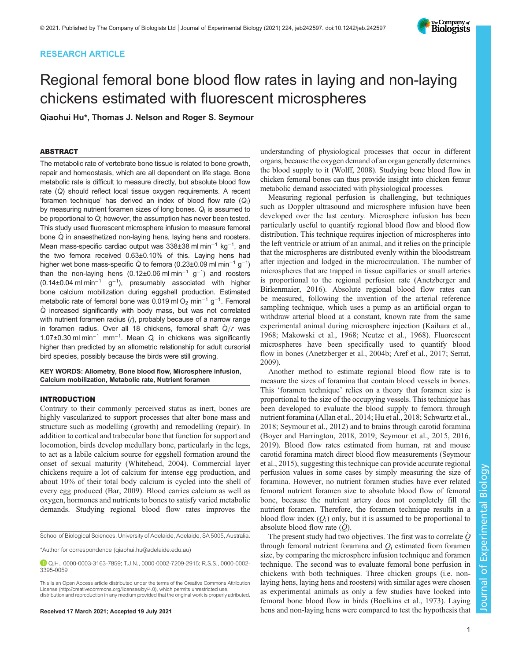# RESEARCH ARTICLE

# Regional femoral bone blood flow rates in laying and non-laying chickens estimated with fluorescent microspheres

Qiaohui Hu\*, Thomas J. Nelson and Roger S. Seymour

# ABSTRACT

The metabolic rate of vertebrate bone tissue is related to bone growth, repair and homeostasis, which are all dependent on life stage. Bone metabolic rate is difficult to measure directly, but absolute blood flow rate  $(Q)$  should reflect local tissue oxygen requirements. A recent 'foramen technique' has derived an index of blood flow rate  $(Q_i)$ by measuring nutrient foramen sizes of long bones.  $Q_i$  is assumed to be proportional to Q; however, the assumption has never been tested. This study used fluorescent microsphere infusion to measure femoral bone Q in anaesthetized non-laying hens, laying hens and roosters. Mean mass-specific cardiac output was 338±38 ml min<sup>-1</sup> kg<sup>-1</sup>, and the two femora received 0.63±0.10% of this. Laying hens had higher wet bone mass-specific Q to femora (0.23±0.09 ml min<sup>-1</sup> g<sup>-1</sup>) than the non-laying hens (0.12±0.06 ml min<sup>-1</sup> g<sup>-1</sup>) and roosters  $(0.14\pm0.04 \text{ ml min}^{-1} \text{ g}^{-1})$ , presumably associated with higher bone calcium mobilization during eggshell production. Estimated metabolic rate of femoral bone was 0.019 ml O<sub>2</sub> min<sup>−1</sup> g<sup>−1</sup>. Femoral Q\_ increased significantly with body mass, but was not correlated with nutrient foramen radius  $(r)$ , probably because of a narrow range in foramen radius. Over all 18 chickens, femoral shaft  $\dot{Q}/r$  was 1.07±0.30 ml min−<sup>1</sup> mm−<sup>1</sup> . Mean Q<sup>i</sup> in chickens was significantly higher than predicted by an allometric relationship for adult cursorial bird species, possibly because the birds were still growing.

## KEY WORDS: Allometry, Bone blood flow, Microsphere infusion, Calcium mobilization, Metabolic rate, Nutrient foramen

# INTRODUCTION

Contrary to their commonly perceived status as inert, bones are highly vascularized to support processes that alter bone mass and structure such as modelling (growth) and remodelling (repair). In addition to cortical and trabecular bone that function for support and locomotion, birds develop medullary bone, particularly in the legs, to act as a labile calcium source for eggshell formation around the onset of sexual maturity ([Whitehead, 2004\)](#page-7-0). Commercial layer chickens require a lot of calcium for intense egg production, and about 10% of their total body calcium is cycled into the shell of every egg produced [\(Bar, 2009](#page-7-0)). Blood carries calcium as well as oxygen, hormones and nutrients to bones to satisfy varied metabolic demands. Studying regional blood flow rates improves the

\*Author for correspondence [\(qiaohui.hu@adelaide.edu.au\)](mailto:qiaohui.hu@adelaide.edu.au)

understanding of physiological processes that occur in different organs, because the oxygen demand of an organ generally determines the blood supply to it ([Wolff, 2008](#page-7-0)). Studying bone blood flow in chicken femoral bones can thus provide insight into chicken femur metabolic demand associated with physiological processes.

Measuring regional perfusion is challenging, but techniques such as Doppler ultrasound and microsphere infusion have been developed over the last century. Microsphere infusion has been particularly useful to quantify regional blood flow and blood flow distribution. This technique requires injection of microspheres into the left ventricle or atrium of an animal, and it relies on the principle that the microspheres are distributed evenly within the bloodstream after injection and lodged in the microcirculation. The number of microspheres that are trapped in tissue capillaries or small arteries is proportional to the regional perfusion rate [\(Anetzberger and](#page-7-0) [Birkenmaier, 2016\)](#page-7-0). Absolute regional blood flow rates can be measured, following the invention of the arterial reference sampling technique, which uses a pump as an artificial organ to withdraw arterial blood at a constant, known rate from the same experimental animal during microsphere injection ([Kaihara et al.,](#page-7-0) [1968; Makowski et al., 1968](#page-7-0); [Neutze et al., 1968\)](#page-7-0). Fluorescent microspheres have been specifically used to quantify blood flow in bones ([Anetzberger et al., 2004b](#page-7-0); [Aref et al., 2017](#page-7-0); [Serrat,](#page-7-0) [2009\)](#page-7-0).

Another method to estimate regional blood flow rate is to measure the sizes of foramina that contain blood vessels in bones. This 'foramen technique' relies on a theory that foramen size is proportional to the size of the occupying vessels. This technique has been developed to evaluate the blood supply to femora through nutrient foramina [\(Allan et al., 2014;](#page-6-0) [Hu et al., 2018](#page-7-0); [Schwartz et al.,](#page-7-0) [2018; Seymour et al., 2012](#page-7-0)) and to brains through carotid foramina [\(Boyer and Harrington, 2018, 2019](#page-7-0); [Seymour et al., 2015, 2016,](#page-7-0) [2019\)](#page-7-0). Blood flow rates estimated from human, rat and mouse carotid foramina match direct blood flow measurements [\(Seymour](#page-7-0) [et al., 2015\)](#page-7-0), suggesting this technique can provide accurate regional perfusion values in some cases by simply measuring the size of foramina. However, no nutrient foramen studies have ever related femoral nutrient foramen size to absolute blood flow of femoral bone, because the nutrient artery does not completely fill the nutrient foramen. Therefore, the foramen technique results in a blood flow index  $(Q_i)$  only, but it is assumed to be proportional to absolute blood flow rate  $(Q)$ .

The present study had two objectives. The first was to correlate  $\dot{Q}$ through femoral nutrient foramina and  $Q_i$  estimated from foramen size, by comparing the microsphere infusion technique and foramen technique. The second was to evaluate femoral bone perfusion in chickens with both techniques. Three chicken groups (i.e. nonlaying hens, laying hens and roosters) with similar ages were chosen as experimental animals as only a few studies have looked into femoral bone blood flow in birds ([Boelkins et al., 1973\)](#page-7-0). Laying Received 17 March 2021; Accepted 19 July 2021 hens and non-laying hens were compared to test the hypothesis that

Journal of Experimental Biology

 $\overline{\circ}$ 

Journal

Experimental Biology



School of Biological Sciences, University of Adelaide, Adelaide, SA 5005, Australia.

Q.H., [0000-0003-3163-7859;](http://orcid.org/0000-0003-3163-7859) T.J.N., [0000-0002-7209-2915](http://orcid.org/0000-0002-7209-2915); R.S.S., [0000-0002-](http://orcid.org/0000-0002-3395-0059) [3395-0059](http://orcid.org/0000-0002-3395-0059)

This is an Open Access article distributed under the terms of the Creative Commons Attribution License [\(http://creativecommons.org/licenses/by/4.0\)](http://creativecommons.org/licenses/by/4.0), which permits unrestricted use, distribution and reproduction in any medium provided that the original work is properly attributed.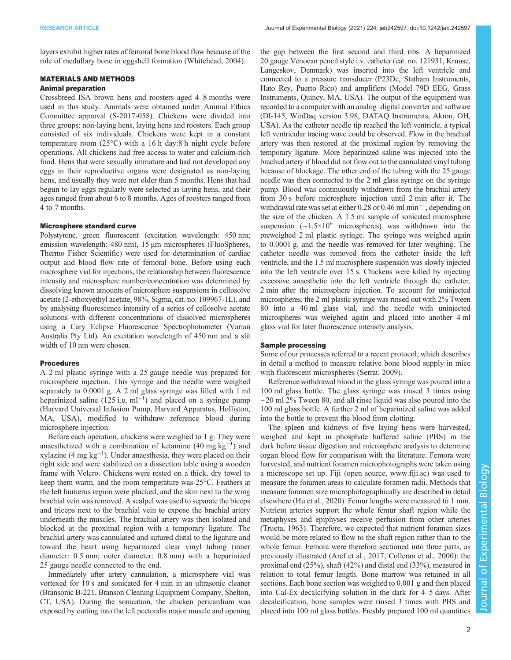layers exhibit higher rates of femoral bone blood flow because of the role of medullary bone in eggshell formation [\(Whitehead, 2004\)](#page-7-0).

# MATERIALS AND METHODS

# Animal preparation

Crossbreed ISA brown hens and roosters aged 4–8 months were used in this study. Animals were obtained under Animal Ethics Committee approval (S-2017-058). Chickens were divided into three groups: non-laying hens, laying hens and roosters. Each group consisted of six individuals. Chickens were kept in a constant temperature room (25°C) with a 16 h day:8 h night cycle before operations. All chickens had free access to water and calcium-rich food. Hens that were sexually immature and had not developed any eggs in their reproductive organs were designated as non-laying hens, and usually they were not older than 5 months. Hens that had begun to lay eggs regularly were selected as laying hens, and their ages ranged from about 6 to 8 months. Ages of roosters ranged from 4 to 7 months.

## Microsphere standard curve

Polystyrene, green fluorescent (excitation wavelength: 450 nm; emission wavelength: 480 nm), 15 µm microspheres (FluoSpheres, Thermo Fisher Scientific) were used for determination of cardiac output and blood flow rate of femoral bone. Before using each microsphere vial for injections, the relationship between fluorescence intensity and microsphere number/concentration was determined by dissolving known amounts of microsphere suspensions in cellosolve acetate (2-ethoxyethyl acetate, 98%, Sigma, cat. no. 109967-1L), and by analysing fluorescence intensity of a series of cellosolve acetate solutions with different concentrations of dissolved microspheres using a Cary Eclipse Fluorescence Spectrophotometer (Varian Australia Pty Ltd). An excitation wavelength of 450 nm and a slit width of 10 nm were chosen.

# Procedures

A 2 ml plastic syringe with a 25 gauge needle was prepared for microsphere injection. This syringe and the needle were weighed separately to 0.0001 g. A 2 ml glass syringe was filled with 1 ml heparinized saline  $(125 \text{ i.u. m}^{-1})$  and placed on a syringe pump (Harvard Universal Infusion Pump, Harvard Apparatus, Holliston, MA, USA), modified to withdraw reference blood during microsphere injection.

Before each operation, chickens were weighed to 1 g. They were anaesthetized with a combination of ketamine (40 mg kg−<sup>1</sup> ) and xylazine (4 mg kg−<sup>1</sup> ). Under anaesthesia, they were placed on their right side and were stabilized on a dissection table using a wooden frame with Velcro. Chickens were rested on a thick, dry towel to keep them warm, and the room temperature was 25°C. Feathers at the left humerus region were plucked, and the skin next to the wing brachial vein was removed. A scalpel was used to separate the biceps and triceps next to the brachial vein to expose the brachial artery underneath the muscles. The brachial artery was then isolated and blocked at the proximal region with a temporary ligature. The brachial artery was cannulated and sutured distal to the ligature and toward the heart using heparinized clear vinyl tubing (inner diameter: 0.5 mm; outer diameter: 0.8 mm) with a heparinized 25 gauge needle connected to the end.

Immediately after artery cannulation, a microsphere vial was vortexed for 10 s and sonicated for 4 min in an ultrasonic cleaner (Bransonic B-221, Branson Cleaning Equipment Company, Shelton, CT, USA). During the sonication, the chicken pericardium was exposed by cutting into the left pectoralis major muscle and opening the gap between the first second and third ribs. A heparinized 20 gauge Venocan pencil style i.v. catheter (cat. no. 121931, Kruuse, Langeskov, Denmark) was inserted into the left ventricle and connected to a pressure transducer (P23Dc, Statham Instruments, Hato Rey, Puerto Rico) and amplifiers (Model 79D EEG, Grass Instruments, Quincy, MA, USA). The output of the equipment was recorded to a computer with an analog–digital converter and software (DI-145, WinDaq version 3.98, DATAQ Instruments, Akron, OH, USA). As the catheter needle tip reached the left ventricle, a typical left ventricular tracing wave could be observed. Flow in the brachial artery was then restored at the proximal region by removing the temporary ligature. More heparinized saline was injected into the brachial artery if blood did not flow out to the cannulated vinyl tubing because of blockage. The other end of the tubing with the 25 gauge needle was then connected to the 2 ml glass syringe on the syringe pump. Blood was continuously withdrawn from the brachial artery from 30 s before microsphere injection until 2 min after it. The withdrawal rate was set at either 0.28 or 0.46 ml min<sup>-1</sup>, depending on the size of the chicken. A 1.5 ml sample of sonicated microsphere suspension  $(\sim 1.5 \times 10^6$  microspheres) was withdrawn into the preweighed 2 ml plastic syringe. The syringe was weighed again to 0.0001 g, and the needle was removed for later weighing. The catheter needle was removed from the catheter inside the left ventricle, and the 1.5 ml microsphere suspension was slowly injected into the left ventricle over 15 s. Chickens were killed by injecting excessive anaesthetic into the left ventricle through the catheter, 2 min after the microsphere injection. To account for uninjected microspheres, the 2 ml plastic syringe was rinsed out with 2% Tween 80 into a 40 ml glass vial, and the needle with uninjected microspheres was weighed again and placed into another 4 ml glass vial for later fluorescence intensity analysis.

## Sample processing

Some of our processes referred to a recent protocol, which describes in detail a method to measure relative bone blood supply in mice with fluorescent microspheres [\(Serrat, 2009](#page-7-0)).

Reference withdrawal blood in the glass syringe was poured into a 100 ml glass bottle. The glass syringe was rinsed 3 times using ∼20 ml 2% Tween 80, and all rinse liquid was also poured into the 100 ml glass bottle. A further 2 ml of heparinized saline was added into the bottle to prevent the blood from clotting.

The spleen and kidneys of five laying hens were harvested, weighed and kept in phosphate buffered saline (PBS) in the dark before tissue digestion and microsphere analysis to determine organ blood flow for comparison with the literature. Femora were harvested, and nutrient foramen microphotographs were taken using a microscope set up. Fiji (open source, [www.fiji.sc](http://www.fiji.sc)) was used to measure the foramen areas to calculate foramen radii. Methods that measure foramen size microphotographically are described in detail elsewhere [\(Hu et al., 2020](#page-7-0)). Femur lengths were measured to 1 mm. Nutrient arteries support the whole femur shaft region while the metaphyses and epiphyses receive perfusion from other arteries [\(Trueta, 1963\)](#page-7-0). Therefore, we expected that nutrient foramen sizes would be more related to flow to the shaft region rather than to the whole femur. Femora were therefore sectioned into three parts, as previously illustrated [\(Aref et al., 2017](#page-7-0); [Colleran et al., 2000\)](#page-7-0): the proximal end (25%), shaft (42%) and distal end (33%), measured in relation to total femur length. Bone marrow was retained in all sections. Each bone section was weighed to 0.001 g and then placed into Cal-Ex decalcifying solution in the dark for 4–5 days. After decalcification, bone samples were rinsed 3 times with PBS and placed into 100 ml glass bottles. Freshly prepared 100 ml quantities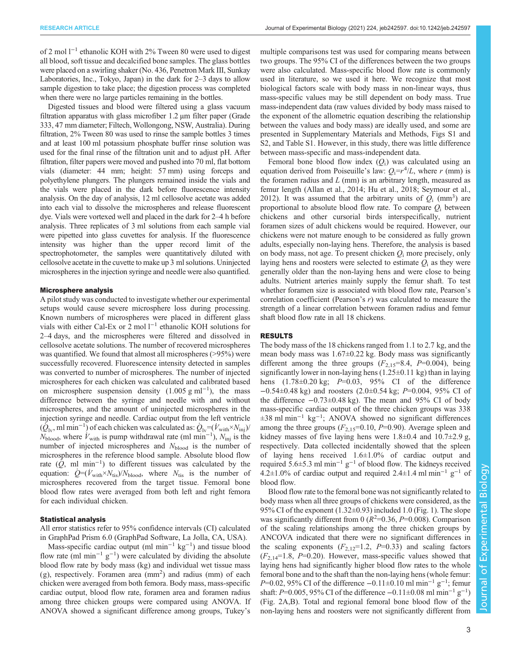of 2 mol l−<sup>1</sup> ethanolic KOH with 2% Tween 80 were used to digest all blood, soft tissue and decalcified bone samples. The glass bottles were placed on a swirling shaker (No. 436, Penetron Mark III, Sunkay Laboratories, Inc., Tokyo, Japan) in the dark for 2–3 days to allow sample digestion to take place; the digestion process was completed when there were no large particles remaining in the bottles.

Digested tissues and blood were filtered using a glass vacuum filtration apparatus with glass microfiber 1.2 µm filter paper (Grade 333, 47 mm diameter; Filtech, Wollongong, NSW, Australia). During filtration, 2% Tween 80 was used to rinse the sample bottles 3 times and at least 100 ml potassium phosphate buffer rinse solution was used for the final rinse of the filtration unit and to adjust pH. After filtration, filter papers were moved and pushed into 70 ml, flat bottom vials (diameter: 44 mm; height: 57 mm) using forceps and polyethylene plungers. The plungers remained inside the vials and the vials were placed in the dark before fluorescence intensity analysis. On the day of analysis, 12 ml cellosolve acetate was added into each vial to dissolve the microspheres and release fluorescent dye. Vials were vortexed well and placed in the dark for 2–4 h before analysis. Three replicates of 3 ml solutions from each sample vial were pipetted into glass cuvettes for analysis. If the fluorescence intensity was higher than the upper record limit of the spectrophotometer, the samples were quantitatively diluted with cellosolve acetate in the cuvette to make up 3 ml solutions. Uninjected microspheres in the injection syringe and needle were also quantified.

## Microsphere analysis

A pilot study was conducted to investigate whether our experimental setups would cause severe microsphere loss during processing. Known numbers of microspheres were placed in different glass vials with either Cal-Ex or 2 mol l−<sup>1</sup> ethanolic KOH solutions for 2–4 days, and the microspheres were filtered and dissolved in cellosolve acetate solutions. The number of recovered microspheres was quantified. We found that almost all microspheres (>95%) were successfully recovered. Fluorescence intensity detected in samples was converted to number of microspheres. The number of injected microspheres for each chicken was calculated and calibrated based on microsphere suspension density  $(1.005 \text{ g m}^{-1})$ , the mass difference between the syringe and needle with and without microspheres, and the amount of uninjected microspheres in the injection syringe and needle. Cardiac output from the left ventricle  $(\check{Q}_{lv}, \text{ml min}^{-1})$  of each chicken was calculated as:  $\dot{Q}_{lv} = (\dot{V}_{with} \times N_{inj})/2$  $N_{\text{blood}}$ , where  $\hat{V}_{\text{with}}$  is pump withdrawal rate (ml min<sup>-1</sup>),  $N_{\text{inj}}$  is the number of injected microspheres and  $N_{\text{blood}}$  is the number of microspheres in the reference blood sample. Absolute blood flow rate  $(\hat{Q}, \text{ ml } \text{min}^{-1})$  to different tissues was calculated by the equation:  $\dot{Q} = (\dot{V}_{\text{with}} \times N_{\text{tis}})/N_{\text{blood}}$ , where  $N_{\text{tis}}$  is the number of microspheres recovered from the target tissue. Femoral bone blood flow rates were averaged from both left and right femora for each individual chicken.

## Statistical analysis

All error statistics refer to 95% confidence intervals (CI) calculated in GraphPad Prism 6.0 (GraphPad Software, La Jolla, CA, USA).

Mass-specific cardiac output (ml min<sup>-1</sup>  $kg^{-1}$ ) and tissue blood flow rate (ml min−<sup>1</sup> g−<sup>1</sup> ) were calculated by dividing the absolute blood flow rate by body mass (kg) and individual wet tissue mass (g), respectively. Foramen area (mm<sup>2</sup> ) and radius (mm) of each chicken were averaged from both femora. Body mass, mass-specific cardiac output, blood flow rate, foramen area and foramen radius among three chicken groups were compared using ANOVA. If ANOVA showed a significant difference among groups, Tukey's

multiple comparisons test was used for comparing means between two groups. The 95% CI of the differences between the two groups were also calculated. Mass-specific blood flow rate is commonly used in literature, so we used it here. We recognize that most biological factors scale with body mass in non-linear ways, thus mass-specific values may be still dependent on body mass. True mass-independent data (raw values divided by body mass raised to the exponent of the allometric equation describing the relationship between the values and body mass) are ideally used, and some are presented in [Supplementary Materials and Methods, Figs S1 and](https://journals.biologists.com/jeb/article-lookup/DOI/10.1242/jeb.242597) [S2, and Table S1](https://journals.biologists.com/jeb/article-lookup/DOI/10.1242/jeb.242597). However, in this study, there was little difference between mass-specific and mass-independent data.

Femoral bone blood flow index  $(O_i)$  was calculated using an equation derived from Poiseuille's law:  $Q_i = r^4/L$ , where r (mm) is the foramen radius and  $L$  (mm) is an arbitrary length, measured as femur length ([Allan et al., 2014](#page-6-0); [Hu et al., 2018; Seymour et al.,](#page-7-0) [2012\)](#page-7-0). It was assumed that the arbitrary units of  $Q_i$  (mm<sup>3</sup>) are proportional to absolute blood flow rate. To compare  $Q_i$  between chickens and other cursorial birds interspecifically, nutrient foramen sizes of adult chickens would be required. However, our chickens were not mature enough to be considered as fully grown adults, especially non-laying hens. Therefore, the analysis is based on body mass, not age. To present chicken  $Q_i$  more precisely, only laying hens and roosters were selected to estimate  $Q_i$  as they were generally older than the non-laying hens and were close to being adults. Nutrient arteries mainly supply the femur shaft. To test whether foramen size is associated with blood flow rate, Pearson's correlation coefficient (Pearson's r) was calculated to measure the strength of a linear correlation between foramen radius and femur shaft blood flow rate in all 18 chickens.

## RESULTS

The body mass of the 18 chickens ranged from 1.1 to 2.7 kg, and the mean body mass was 1.67±0.22 kg. Body mass was significantly different among the three groups  $(F_{2,15}=8.4, P=0.004)$ , being significantly lower in non-laying hens  $(1.25\pm0.11 \text{ kg})$  than in laying hens  $(1.78 \pm 0.20 \text{ kg}; P=0.03, 95\% \text{ CI of the difference})$ −0.54±0.48 kg) and roosters (2.0±0.54 kg; P=0.004, 95% CI of the difference −0.73±0.48 kg). The mean and 95% CI of body mass-specific cardiac output of the three chicken groups was 338 ±38 ml min−<sup>1</sup> kg−<sup>1</sup> ; ANOVA showed no significant differences among the three groups  $(F_{2,15}=0.10, P=0.90)$ . Average spleen and kidney masses of five laying hens were  $1.8\pm0.4$  and  $10.7\pm2.9$  g, respectively. Data collected incidentally showed that the spleen of laying hens received 1.6±1.0% of cardiac output and required 5.6±5.3 ml min<sup>-1</sup> g<sup>-1</sup> of blood flow. The kidneys received 4.2±1.0% of cardiac output and required 2.4±1.4 ml min<sup>-1</sup> g<sup>-1</sup> of blood flow.

Blood flow rate to the femoral bone was not significantly related to body mass when all three groups of chickens were considered, as the 95% CI of the exponent  $(1.32\pm0.93)$  included 1.0 [\(Fig. 1](#page-3-0)). The slope was significantly different from 0 ( $R^2$ =0.36, P=0.008). Comparison of the scaling relationships among the three chicken groups by ANCOVA indicated that there were no significant differences in the scaling exponents  $(F_{2,12}=1.2, P=0.33)$  and scaling factors  $(F_{2,14}=1.8, P=0.20)$ . However, mass-specific values showed that laying hens had significantly higher blood flow rates to the whole femoral bone and to the shaft than the non-laying hens (whole femur:  $P=0.02$ , 95% CI of the difference  $-0.11 \pm 0.10$  ml min<sup>-1</sup> g<sup>-1</sup>; femur shaft: P=0.005, 95% CI of the difference  $-0.11 \pm 0.08$  ml min<sup>-1</sup> g<sup>-1</sup>) [\(Fig. 2A](#page-3-0),B). Total and regional femoral bone blood flow of the non-laying hens and roosters were not significantly different from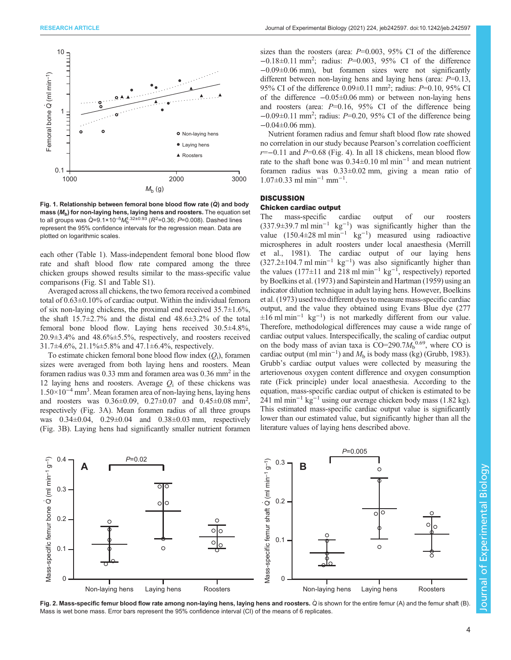<span id="page-3-0"></span>

Fig. 1. Relationship between femoral bone blood flow rate  $(Q)$  and body mass  $(M_b)$  for non-laying hens, laying hens and roosters. The equation set to all groups was Q=9.1×10<sup>-5</sup>M<sub>b</sub><sup>1.32±0.93</sup> (R<sup>2</sup>=0.36; P=0.008). Dashed lines represent the 95% confidence intervals for the regression mean. Data are plotted on logarithmic scales.

each other [\(Table 1](#page-4-0)). Mass-independent femoral bone blood flow rate and shaft blood flow rate compared among the three chicken groups showed results similar to the mass-specific value comparisons ([Fig. S1](https://journals.biologists.com/jeb/article-lookup/DOI/10.1242/jeb.242597) and [Table S1\)](https://journals.biologists.com/jeb/article-lookup/DOI/10.1242/jeb.242597).

Averaged across all chickens, the two femora received a combined total of 0.63±0.10% of cardiac output. Within the individual femora of six non-laying chickens, the proximal end received  $35.7\pm1.6\%$ , the shaft  $15.7\pm2.7\%$  and the distal end  $48.6\pm3.2\%$  of the total femoral bone blood flow. Laying hens received 30.5±4.8%, 20.9±3.4% and 48.6%±5.5%, respectively, and roosters received 31.7±4.6%, 21.1%±5.8% and 47.1±6.4%, respectively.

To estimate chicken femoral bone blood flow index  $(O_i)$ , foramen sizes were averaged from both laying hens and roosters. Mean foramen radius was  $0.33$  mm and foramen area was  $0.36$  mm<sup>2</sup> in the 12 laying hens and roosters. Average  $Q_i$  of these chickens was 1.50×10−<sup>4</sup> mm3 . Mean foramen area of non-laying hens, laying hens and roosters was  $0.36 \pm 0.09$ ,  $0.27 \pm 0.07$  and  $0.45 \pm 0.08$  mm<sup>2</sup>, respectively [\(Fig. 3](#page-4-0)A). Mean foramen radius of all three groups was 0.34±0.04, 0.29±0.04 and 0.38±0.03 mm, respectively [\(Fig. 3](#page-4-0)B). Laying hens had significantly smaller nutrient foramen

sizes than the roosters (area:  $P=0.003$ , 95% CI of the difference −0.18±0.11 mm2 ; radius: P=0.003, 95% CI of the difference −0.09±0.06 mm), but foramen sizes were not significantly different between non-laying hens and laying hens (area:  $P=0.13$ , 95% CI of the difference 0.09±0.11 mm<sup>2</sup>; radius: P=0.10, 95% CI of the difference −0.05±0.06 mm) or between non-laying hens and roosters (area:  $P=0.16$ , 95% CI of the difference being −0.09±0.11 mm2 ; radius: P=0.20, 95% CI of the difference being −0.04±0.06 mm).

Nutrient foramen radius and femur shaft blood flow rate showed no correlation in our study because Pearson's correlation coefficient  $r=-0.11$  and  $P=0.68$  ([Fig. 4](#page-5-0)). In all 18 chickens, mean blood flow rate to the shaft bone was 0.34±0.10 ml min−<sup>1</sup> and mean nutrient foramen radius was 0.33±0.02 mm, giving a mean ratio of 1.07±0.33 ml min−<sup>1</sup> mm−<sup>1</sup> .

# **DISCUSSION**

# Chicken cardiac output

The mass-specific cardiac output of our roosters (337.9±39.7 ml min−<sup>1</sup> kg−<sup>1</sup> ) was significantly higher than the value  $(150.4 \pm 28 \text{ ml min}^{-1} \text{ kg}^{-1})$  measured using radioactive microspheres in adult roosters under local anaesthesia [\(Merrill](#page-7-0) [et al., 1981\)](#page-7-0). The cardiac output of our laying hens  $(327.2\pm104.7 \text{ ml min}^{-1} \text{ kg}^{-1})$  was also significantly higher than the values (177 $\pm$ 11 and 218 ml min<sup>-1</sup> kg<sup>-1</sup>, respectively) reported by [Boelkins et al. \(1973\)](#page-7-0) and [Sapirstein and Hartman \(1959\)](#page-7-0) using an indicator dilution technique in adult laying hens. However, [Boelkins](#page-7-0) [et al. \(1973\)](#page-7-0) used two different dyes to measure mass-specific cardiac output, and the value they obtained using Evans Blue dye (277  $\pm 16$  ml min<sup>-1</sup> kg<sup>-1</sup>) is not markedly different from our value. Therefore, methodological differences may cause a wide range of cardiac output values. Interspecifically, the scaling of cardiac output on the body mass of avian taxa is  $CO=290.7M_b^{0.69}$ , where CO is cardiac output (ml min<sup>-1</sup>) and  $M<sub>b</sub>$  is body mass (kg) [\(Grubb, 1983\)](#page-7-0). Grubb's cardiac output values were collected by measuring the arteriovenous oxygen content difference and oxygen consumption rate (Fick principle) under local anaesthesia. According to the equation, mass-specific cardiac output of chicken is estimated to be 241 ml min<sup>-1</sup> kg<sup>-1</sup> using our average chicken body mass (1.82 kg). This estimated mass-specific cardiac output value is significantly lower than our estimated value, but significantly higher than all the literature values of laying hens described above.



Fig. 2. Mass-specific femur blood flow rate among non-laying hens, laying hens and roosters. Q is shown for the entire femur (A) and the femur shaft (B) Mass is wet bone mass. Error bars represent the 95% confidence interval (CI) of the means of 6 replicates.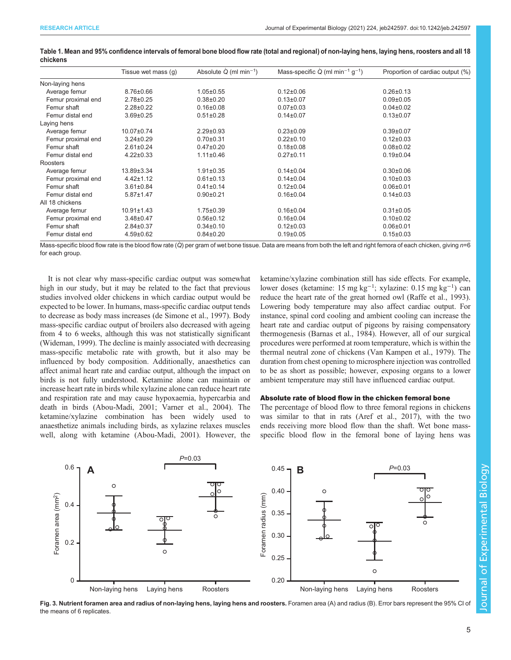|                    | Tissue wet mass (g) | Absolute $\dot{Q}$ (ml min <sup>-1</sup> ) | Mass-specific $Q$ (ml min <sup>-1</sup> g <sup>-1</sup> ) | Proportion of cardiac output (%) |
|--------------------|---------------------|--------------------------------------------|-----------------------------------------------------------|----------------------------------|
| Non-laying hens    |                     |                                            |                                                           |                                  |
| Average femur      | $8.76 \pm 0.66$     | $1.05 \pm 0.55$                            | $0.12 \pm 0.06$                                           | $0.26 \pm 0.13$                  |
| Femur proximal end | $2.78 \pm 0.25$     | $0.38 \pm 0.20$                            | $0.13 \pm 0.07$                                           | $0.09 \pm 0.05$                  |
| Femur shaft        | $2.28 \pm 0.22$     | $0.16 \pm 0.08$                            | $0.07 \pm 0.03$                                           | $0.04 \pm 0.02$                  |
| Femur distal end   | $3.69 \pm 0.25$     | $0.51 \pm 0.28$                            | $0.14 \pm 0.07$                                           | $0.13 \pm 0.07$                  |
| Laying hens        |                     |                                            |                                                           |                                  |
| Average femur      | 10.07±0.74          | $2.29 \pm 0.93$                            | $0.23 \pm 0.09$                                           | $0.39 + 0.07$                    |
| Femur proximal end | $3.24 \pm 0.29$     | $0.70 + 0.31$                              | $0.22 \pm 0.10$                                           | $0.12 \pm 0.03$                  |
| Femur shaft        | $2.61 \pm 0.24$     | $0.47 \pm 0.20$                            | $0.18 \pm 0.08$                                           | $0.08 \pm 0.02$                  |
| Femur distal end   | $4.22 \pm 0.33$     | $1.11 \pm 0.46$                            | $0.27 \pm 0.11$                                           | $0.19 \pm 0.04$                  |
| Roosters           |                     |                                            |                                                           |                                  |
| Average femur      | 13.89±3.34          | $1.91 \pm 0.35$                            | $0.14 \pm 0.04$                                           | $0.30 \pm 0.06$                  |
| Femur proximal end | $4.42 \pm 1.12$     | $0.61 \pm 0.13$                            | $0.14 \pm 0.04$                                           | $0.10 \pm 0.03$                  |
| Femur shaft        | $3.61 \pm 0.84$     | $0.41 \pm 0.14$                            | $0.12 \pm 0.04$                                           | $0.06 + 0.01$                    |
| Femur distal end   | $5.87 \pm 1.47$     | $0.90 + 0.21$                              | $0.16 \pm 0.04$                                           | $0.14 \pm 0.03$                  |
| All 18 chickens    |                     |                                            |                                                           |                                  |
| Average femur      | $10.91 \pm 1.43$    | $1.75 \pm 0.39$                            | $0.16 \pm 0.04$                                           | $0.31 \pm 0.05$                  |
| Femur proximal end | $3.48 \pm 0.47$     | $0.56 \pm 0.12$                            | $0.16 \pm 0.04$                                           | $0.10 \pm 0.02$                  |
| Femur shaft        | $2.84 \pm 0.37$     | $0.34 \pm 0.10$                            | $0.12 \pm 0.03$                                           | $0.06 + 0.01$                    |
| Femur distal end   | $4.59 \pm 0.62$     | $0.84 \pm 0.20$                            | $0.19 \pm 0.05$                                           | $0.15 \pm 0.03$                  |
|                    |                     |                                            |                                                           |                                  |

<span id="page-4-0"></span>Table 1. Mean and 95% confidence intervals of femoral bone blood flow rate (total and regional) of non-laying hens, laying hens, roosters and all 18 chickens

Mass-specific blood flow rate is the blood flow rate  $\overline{Q}$  per gram of wet bone tissue. Data are means from both the left and right femora of each chicken, giving n=6 for each group.

It is not clear why mass-specific cardiac output was somewhat high in our study, but it may be related to the fact that previous studies involved older chickens in which cardiac output would be expected to be lower. In humans, mass-specific cardiac output tends to decrease as body mass increases ([de Simone et al., 1997](#page-7-0)). Body mass-specific cardiac output of broilers also decreased with ageing from 4 to 6 weeks, although this was not statistically significant [\(Wideman, 1999\)](#page-7-0). The decline is mainly associated with decreasing mass-specific metabolic rate with growth, but it also may be influenced by body composition. Additionally, anaesthetics can affect animal heart rate and cardiac output, although the impact on birds is not fully understood. Ketamine alone can maintain or increase heart rate in birds while xylazine alone can reduce heart rate and respiration rate and may cause hypoxaemia, hypercarbia and death in birds ([Abou-Madi, 2001;](#page-6-0) [Varner et al., 2004](#page-7-0)). The ketamine/xylazine combination has been widely used to anaesthetize animals including birds, as xylazine relaxes muscles well, along with ketamine [\(Abou-Madi, 2001](#page-6-0)). However, the

ketamine/xylazine combination still has side effects. For example, lower doses (ketamine: 15 mg kg−<sup>1</sup> ; xylazine: 0.15 mg kg−<sup>1</sup> ) can reduce the heart rate of the great horned owl ([Raffe et al., 1993\)](#page-7-0). Lowering body temperature may also affect cardiac output. For instance, spinal cord cooling and ambient cooling can increase the heart rate and cardiac output of pigeons by raising compensatory thermogenesis ([Barnas et al., 1984](#page-7-0)). However, all of our surgical procedures were performed at room temperature, which is within the thermal neutral zone of chickens ([Van Kampen et al., 1979\)](#page-7-0). The duration from chest opening to microsphere injection was controlled to be as short as possible; however, exposing organs to a lower ambient temperature may still have influenced cardiac output.

# Absolute rate of blood flow in the chicken femoral bone

The percentage of blood flow to three femoral regions in chickens was similar to that in rats ([Aref et al., 2017\)](#page-7-0), with the two ends receiving more blood flow than the shaft. Wet bone massspecific blood flow in the femoral bone of laying hens was



Fig. 3. Nutrient foramen area and radius of non-laying hens, laying hens and roosters. Foramen area (A) and radius (B). Error bars represent the 95% CI of the means of 6 replicates.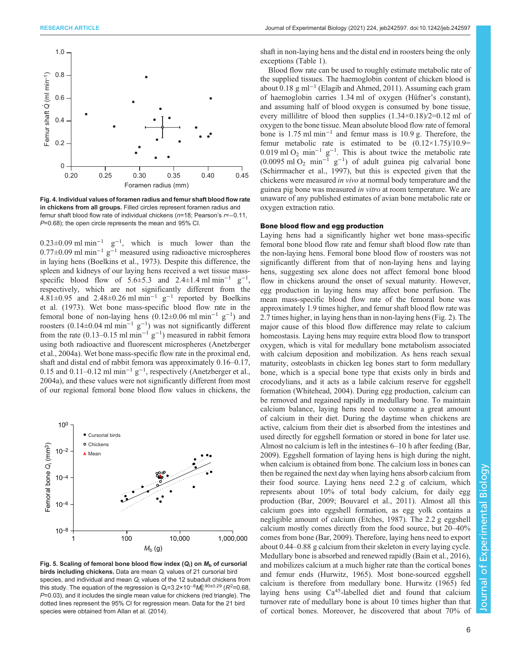<span id="page-5-0"></span>

Fig. 4. Individual values of foramen radius and femur shaft blood flow rate in chickens from all groups. Filled circles represent foramen radius and femur shaft blood flow rate of individual chickens (n=18; Pearson's r=−0.11, P=0.68); the open circle represents the mean and 95% CI.

 $0.23 \pm 0.09$  ml min<sup>-1</sup> g<sup>-1</sup>, which is much lower than the  $0.77\pm0.09$  ml min<sup>-1</sup> g<sup>-1</sup> measured using radioactive microspheres in laying hens [\(Boelkins et al., 1973](#page-7-0)). Despite this difference, the spleen and kidneys of our laying hens received a wet tissue massspecific blood flow of  $5.6 \pm 5.3$  and  $2.4 \pm 1.4$  ml min<sup>-1</sup> g<sup>-1</sup>, respectively, which are not significantly different from the  $4.81 \pm 0.95$  and  $2.48 \pm 0.26$  ml min<sup>-1</sup> g<sup>-1</sup> reported by [Boelkins](#page-7-0) [et al. \(1973\).](#page-7-0) Wet bone mass-specific blood flow rate in the femoral bone of non-laying hens  $(0.12 \pm 0.06 \text{ ml min}^{-1} \text{ g}^{-1})$  and roosters (0.14±0.04 ml min<sup>-1</sup> g<sup>-1</sup>) was not significantly different from the rate (0.13–0.15 ml min<sup>-1</sup> g<sup>-1</sup>) measured in rabbit femora using both radioactive and fluorescent microspheres ([Anetzberger](#page-7-0) [et al., 2004a](#page-7-0)). Wet bone mass-specific flow rate in the proximal end, shaft and distal end of rabbit femora was approximately 0.16–0.17, 0.15 and 0.11–0.12 ml min<sup>-1</sup>  $g^{-1}$ , respectively [\(Anetzberger et al.,](#page-7-0) [2004a](#page-7-0)), and these values were not significantly different from most of our regional femoral bone blood flow values in chickens, the



Fig. 5. Scaling of femoral bone blood flow index  $(Q_i)$  on  $M_b$  of cursorial birds including chickens. Data are mean  $Q_i$  values of 21 cursorial bird species, and individual and mean  $Q_i$  values of the 12 subadult chickens from this study. The equation of the regression is Q<sub>i</sub>=3.2×10<sup>–8</sup>M $_{\rm b}^{\rm 0.90\pm 0.29}$  (*R*<sup>2</sup>=0.68,  $P=0.03$ ), and it includes the single mean value for chickens (red triangle). The dotted lines represent the 95% CI for regression mean. Data for the 21 bird species were obtained from [Allan et al. \(2014\).](#page-6-0)

shaft in non-laying hens and the distal end in roosters being the only exceptions ([Table 1](#page-4-0)).

Blood flow rate can be used to roughly estimate metabolic rate of the supplied tissues. The haemoglobin content of chicken blood is about 0.18 g ml−<sup>1</sup> ([Elagib and Ahmed, 2011\)](#page-7-0). Assuming each gram of haemoglobin carries 1.34 ml of oxygen (Hüfner's constant), and assuming half of blood oxygen is consumed by bone tissue, every millilitre of blood then supplies  $(1.34\times0.18)/2=0.12$  ml of oxygen to the bone tissue. Mean absolute blood flow rate of femoral bone is 1.75 ml min−<sup>1</sup> and femur mass is 10.9 g. Therefore, the femur metabolic rate is estimated to be  $(0.12 \times 1.75)/10.9=$ 0.019 ml O<sub>2</sub> min<sup>-1</sup> g<sup>-1</sup>. This is about twice the metabolic rate  $(0.0095 \text{ ml } O_2 \text{ min}^{-1} \text{ g}^{-1})$  of adult guinea pig calvarial bone [\(Schirrmacher et al., 1997\)](#page-7-0), but this is expected given that the chickens were measured in vivo at normal body temperature and the guinea pig bone was measured in vitro at room temperature. We are unaware of any published estimates of avian bone metabolic rate or oxygen extraction ratio.

#### Bone blood flow and egg production

Laying hens had a significantly higher wet bone mass-specific femoral bone blood flow rate and femur shaft blood flow rate than the non-laying hens. Femoral bone blood flow of roosters was not significantly different from that of non-laying hens and laying hens, suggesting sex alone does not affect femoral bone blood flow in chickens around the onset of sexual maturity. However, egg production in laying hens may affect bone perfusion. The mean mass-specific blood flow rate of the femoral bone was approximately 1.9 times higher, and femur shaft blood flow rate was 2.7 times higher, in laying hens than in non-laying hens ([Fig. 2](#page-3-0)). The major cause of this blood flow difference may relate to calcium homeostasis. Laying hens may require extra blood flow to transport oxygen, which is vital for medullary bone metabolism associated with calcium deposition and mobilization. As hens reach sexual maturity, osteoblasts in chicken leg bones start to form medullary bone, which is a special bone type that exists only in birds and crocodylians, and it acts as a labile calcium reserve for eggshell formation ([Whitehead, 2004](#page-7-0)). During egg production, calcium can be removed and regained rapidly in medullary bone. To maintain calcium balance, laying hens need to consume a great amount of calcium in their diet. During the daytime when chickens are active, calcium from their diet is absorbed from the intestines and used directly for eggshell formation or stored in bone for later use. Almost no calcium is left in the intestines 6–10 h after feeding [\(Bar,](#page-7-0) [2009\)](#page-7-0). Eggshell formation of laying hens is high during the night, when calcium is obtained from bone. The calcium loss in bones can then be regained the next day when laying hens absorb calcium from their food source. Laying hens need 2.2 g of calcium, which represents about 10% of total body calcium, for daily egg production ([Bar, 2009](#page-7-0); [Bouvarel et al., 2011\)](#page-7-0). Almost all this calcium goes into eggshell formation, as egg yolk contains a negligible amount of calcium ([Etches, 1987\)](#page-7-0). The 2.2 g eggshell calcium mostly comes directly from the food source, but 20–40% comes from bone [\(Bar, 2009](#page-7-0)). Therefore, laying hens need to export about 0.44–0.88 g calcium from their skeleton in every laying cycle. Medullary bone is absorbed and renewed rapidly ([Bain et al., 2016\)](#page-7-0), and mobilizes calcium at a much higher rate than the cortical bones and femur ends [\(Hurwitz, 1965\)](#page-7-0). Most bone-sourced eggshell calcium is therefore from medullary bone. [Hurwitz \(1965\)](#page-7-0) fed laying hens using  $Ca<sup>45</sup>$ -labelled diet and found that calcium turnover rate of medullary bone is about 10 times higher than that of cortical bones. Moreover, he discovered that about 70% of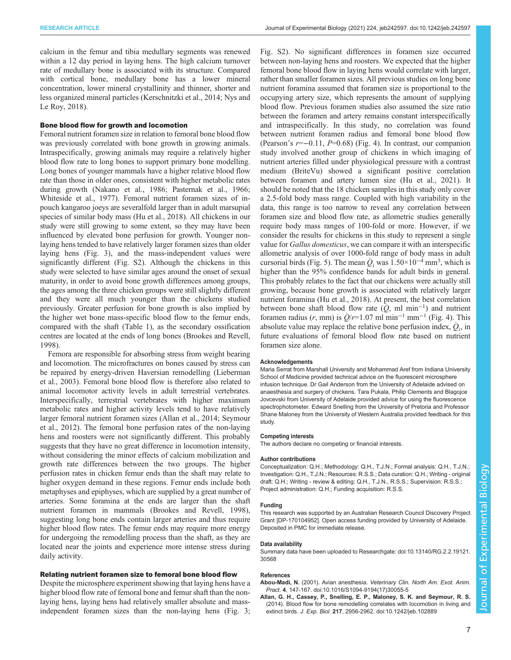<span id="page-6-0"></span>calcium in the femur and tibia medullary segments was renewed within a 12 day period in laying hens. The high calcium turnover rate of medullary bone is associated with its structure. Compared with cortical bone, medullary bone has a lower mineral concentration, lower mineral crystallinity and thinner, shorter and less organized mineral particles ([Kerschnitzki et al., 2014](#page-7-0); [Nys and](#page-7-0) [Le Roy, 2018](#page-7-0)).

## Bone blood flow for growth and locomotion

Femoral nutrient foramen size in relation to femoral bone blood flow was previously correlated with bone growth in growing animals. Intraspecifically, growing animals may require a relatively higher blood flow rate to long bones to support primary bone modelling. Long bones of younger mammals have a higher relative blood flow rate than those in older ones, consistent with higher metabolic rates during growth ([Nakano et al., 1986](#page-7-0); [Pasternak et al., 1966](#page-7-0); [Whiteside et al., 1977\)](#page-7-0). Femoral nutrient foramen sizes of inpouch kangaroo joeys are severalfold larger than in adult marsupial species of similar body mass ([Hu et al., 2018](#page-7-0)). All chickens in our study were still growing to some extent, so they may have been influenced by elevated bone perfusion for growth. Younger nonlaying hens tended to have relatively larger foramen sizes than older laying hens ([Fig. 3](#page-4-0)), and the mass-independent values were significantly different [\(Fig. S2\)](https://journals.biologists.com/jeb/article-lookup/DOI/10.1242/jeb.242597). Although the chickens in this study were selected to have similar ages around the onset of sexual maturity, in order to avoid bone growth differences among groups, the ages among the three chicken groups were still slightly different and they were all much younger than the chickens studied previously. Greater perfusion for bone growth is also implied by the higher wet bone mass-specific blood flow to the femur ends, compared with the shaft ([Table 1](#page-4-0)), as the secondary ossification centres are located at the ends of long bones [\(Brookes and Revell,](#page-7-0) [1998](#page-7-0)).

Femora are responsible for absorbing stress from weight bearing and locomotion. The microfractures on bones caused by stress can be repaired by energy-driven Haversian remodelling [\(Lieberman](#page-7-0) [et al., 2003\)](#page-7-0). Femoral bone blood flow is therefore also related to animal locomotor activity levels in adult terrestrial vertebrates. Interspecifically, terrestrial vertebrates with higher maximum metabolic rates and higher activity levels tend to have relatively larger femoral nutrient foramen sizes (Allan et al., 2014; [Seymour](#page-7-0) [et al., 2012](#page-7-0)). The femoral bone perfusion rates of the non-laying hens and roosters were not significantly different. This probably suggests that they have no great difference in locomotion intensity, without considering the minor effects of calcium mobilization and growth rate differences between the two groups. The higher perfusion rates in chicken femur ends than the shaft may relate to higher oxygen demand in these regions. Femur ends include both metaphyses and epiphyses, which are supplied by a great number of arteries. Some foramina at the ends are larger than the shaft nutrient foramen in mammals [\(Brookes and Revell, 1998\)](#page-7-0), suggesting long bone ends contain larger arteries and thus require higher blood flow rates. The femur ends may require more energy for undergoing the remodelling process than the shaft, as they are located near the joints and experience more intense stress during daily activity.

#### Relating nutrient foramen size to femoral bone blood flow

Despite the microsphere experiment showing that laying hens have a higher blood flow rate of femoral bone and femur shaft than the nonlaying hens, laying hens had relatively smaller absolute and massindependent foramen sizes than the non-laying hens [\(Fig. 3](#page-4-0);

[Fig. S2](https://journals.biologists.com/jeb/article-lookup/DOI/10.1242/jeb.242597)). No significant differences in foramen size occurred between non-laying hens and roosters. We expected that the higher femoral bone blood flow in laying hens would correlate with larger, rather than smaller foramen sizes. All previous studies on long bone nutrient foramina assumed that foramen size is proportional to the occupying artery size, which represents the amount of supplying blood flow. Previous foramen studies also assumed the size ratio between the foramen and artery remains constant interspecifically and intraspecifically. In this study, no correlation was found between nutrient foramen radius and femoral bone blood flow (Pearson's r=−0.11, P=0.68) [\(Fig. 4](#page-5-0)). In contrast, our companion study involved another group of chickens in which imaging of nutrient arteries filled under physiological pressure with a contrast medium (BriteVu) showed a significant positive correlation between foramen and artery lumen size ([Hu et al., 2021\)](#page-7-0). It should be noted that the 18 chicken samples in this study only cover a 2.5-fold body mass range. Coupled with high variability in the data, this range is too narrow to reveal any correlation between foramen size and blood flow rate, as allometric studies generally require body mass ranges of 100-fold or more. However, if we consider the results for chickens in this study to represent a single value for Gallus domesticus, we can compare it with an interspecific allometric analysis of over 1000-fold range of body mass in adult cursorial birds ([Fig. 5\)](#page-5-0). The mean  $\dot{Q}_i$  was  $1.50\times10^{-4}$  mm<sup>3</sup>, which is higher than the 95% confidence bands for adult birds in general. This probably relates to the fact that our chickens were actually still growing, because bone growth is associated with relatively larger nutrient foramina [\(Hu et al., 2018\)](#page-7-0). At present, the best correlation between bone shaft blood flow rate  $(Q, \text{ ml } \text{min}^{-1})$  and nutrient foramen radius (r, mm) is  $\dot{Q}/r=1.07$  ml min<sup>-1</sup> mm<sup>-1</sup> ([Fig. 4](#page-5-0)). This absolute value may replace the relative bone perfusion index,  $\dot{Q}_i$ , in future evaluations of femoral blood flow rate based on nutrient foramen size alone.

#### Acknowledgements

Maria Serrat from Marshall University and Mohammad Aref from Indiana University School of Medicine provided technical advice on the fluorescent microsphere infusion technique. Dr Gail Anderson from the University of Adelaide advised on anaesthesia and surgery of chickens. Tara Pukala, Philip Clements and Blagojce Jovcevski from University of Adelaide provided advice for using the fluorescence spectrophotometer. Edward Snelling from the University of Pretoria and Professor Shane Maloney from the University of Western Australia provided feedback for this study.

#### Competing interests

The authors declare no competing or financial interests.

#### Author contributions

Conceptualization: Q.H.; Methodology: Q.H., T.J.N.; Formal analysis: Q.H., T.J.N.; Investigation: Q.H., T.J.N.; Resources: R.S.S.; Data curation: Q.H.; Writing - original draft: Q.H.; Writing - review & editing: Q.H., T.J.N., R.S.S.; Supervision: R.S.S.; Project administration: Q.H.; Funding acquisition: R.S.S.

#### Funding

This research was supported by an Australian Research Council Discovery Project Grant [DP-170104952]. Open access funding provided by University of Adelaide. Deposited in PMC for immediate release.

#### Data availability

Summary data have been uploaded to Researchgate: [doi:10.13140/RG.2.2.19121.](https://www.researchgate.net/publication/353729945_The_summary_data_for_the_Regional_femoral_bone_blood_flow_rates_in_laying_and_non-laying_chickens_estimated_with_fluorescent_microspheres_paper?channel=doi&linkId=610ca70b0c2bfa282a27d023&showFulltext=true) [30568](https://www.researchgate.net/publication/353729945_The_summary_data_for_the_Regional_femoral_bone_blood_flow_rates_in_laying_and_non-laying_chickens_estimated_with_fluorescent_microspheres_paper?channel=doi&linkId=610ca70b0c2bfa282a27d023&showFulltext=true)

#### References

- Abou-Madi, N. (2001). Avian anesthesia. [Veterinary Clin. North Am. Exot. Anim.](https://doi.org/10.1016/S1094-9194(17)30055-5) Pract. 4[, 147-167. doi:10.1016/S1094-9194\(17\)30055-5](https://doi.org/10.1016/S1094-9194(17)30055-5)
- [Allan, G. H., Cassey, P., Snelling, E. P., Maloney, S. K. and Seymour, R. S.](https://doi.org/10.1242/jeb.102889) [\(2014\). Blood flow for bone remodelling correlates with locomotion in living and](https://doi.org/10.1242/jeb.102889) extinct birds. J. Exp. Biol. 217[, 2956-2962. doi:10.1242/jeb.102889](https://doi.org/10.1242/jeb.102889)